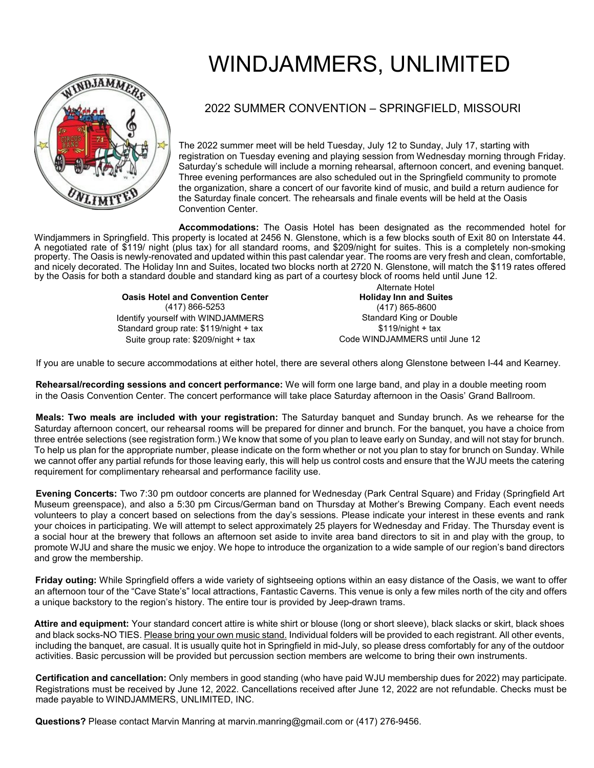

## WINDJAMMERS, UNLIMITED

## 2022 SUMMER CONVENTION – SPRINGFIELD, MISSOURI

The 2022 summer meet will be held Tuesday, July 12 to Sunday, July 17, starting with registration on Tuesday evening and playing session from Wednesday morning through Friday. Saturday's schedule will include a morning rehearsal, afternoon concert, and evening banquet. Three evening performances are also scheduled out in the Springfield community to promote the organization, share a concert of our favorite kind of music, and build a return audience for the Saturday finale concert. The rehearsals and finale events will be held at the Oasis Convention Center.

**Accommodations:** The Oasis Hotel has been designated as the recommended hotel for Windjammers in Springfield. This property is located at 2456 N. Glenstone, which is a few blocks south of Exit 80 on Interstate 44. A negotiated rate of \$119/ night (plus tax) for all standard rooms, and \$209/night for suites. This is a completely non-smoking property. The Oasis is newly-renovated and updated within this past calendar year. The rooms are very fresh and clean, comfortable, and nicely decorated. The Holiday Inn and Suites, located two blocks north at 2720 N. Glenstone, will match the \$119 rates offered by the Oasis for both a standard double and standard king as part of a courtesy block of rooms held until June 12.

> **Oasis Hotel and Convention Center**  (417) 866-5253 Identify yourself with WINDJAMMERS Standard group rate: \$119/night + tax Suite group rate: \$209/night + tax

Alternate Hotel **Holiday Inn and Suites**  (417) 865-8600 Standard King or Double  $$119/night + tax$ Code WINDJAMMERS until June 12

If you are unable to secure accommodations at either hotel, there are several others along Glenstone between I-44 and Kearney.

**Rehearsal/recording sessions and concert performance:** We will form one large band, and play in a double meeting room in the Oasis Convention Center. The concert performance will take place Saturday afternoon in the Oasis' Grand Ballroom.

**Meals: Two meals are included with your registration:** The Saturday banquet and Sunday brunch. As we rehearse for the Saturday afternoon concert, our rehearsal rooms will be prepared for dinner and brunch. For the banquet, you have a choice from three entrée selections (see registration form.) We know that some of you plan to leave early on Sunday, and will not stay for brunch. To help us plan for the appropriate number, please indicate on the form whether or not you plan to stay for brunch on Sunday. While we cannot offer any partial refunds for those leaving early, this will help us control costs and ensure that the WJU meets the catering requirement for complimentary rehearsal and performance facility use.

**Evening Concerts:** Two 7:30 pm outdoor concerts are planned for Wednesday (Park Central Square) and Friday (Springfield Art Museum greenspace), and also a 5:30 pm Circus/German band on Thursday at Mother's Brewing Company. Each event needs volunteers to play a concert based on selections from the day's sessions. Please indicate your interest in these events and rank your choices in participating. We will attempt to select approximately 25 players for Wednesday and Friday. The Thursday event is a social hour at the brewery that follows an afternoon set aside to invite area band directors to sit in and play with the group, to promote WJU and share the music we enjoy. We hope to introduce the organization to a wide sample of our region's band directors and grow the membership.

**Friday outing:** While Springfield offers a wide variety of sightseeing options within an easy distance of the Oasis, we want to offer an afternoon tour of the "Cave State's" local attractions, Fantastic Caverns. This venue is only a few miles north of the city and offers a unique backstory to the region's history. The entire tour is provided by Jeep-drawn trams.

**Attire and equipment:** Your standard concert attire is white shirt or blouse (long or short sleeve), black slacks or skirt, black shoes and black socks-NO TIES. Please bring your own music stand. Individual folders will be provided to each registrant. All other events, including the banquet, are casual. It is usually quite hot in Springfield in mid-July, so please dress comfortably for any of the outdoor activities. Basic percussion will be provided but percussion section members are welcome to bring their own instruments.

**Certification and cancellation:** Only members in good standing (who have paid WJU membership dues for 2022) may participate. Registrations must be received by June 12, 2022. Cancellations received after June 12, 2022 are not refundable. Checks must be made payable to WINDJAMMERS, UNLIMITED, INC.

**Questions?** Please contact Marvin Manring at marvin.manring@gmail.com or (417) 276-9456.